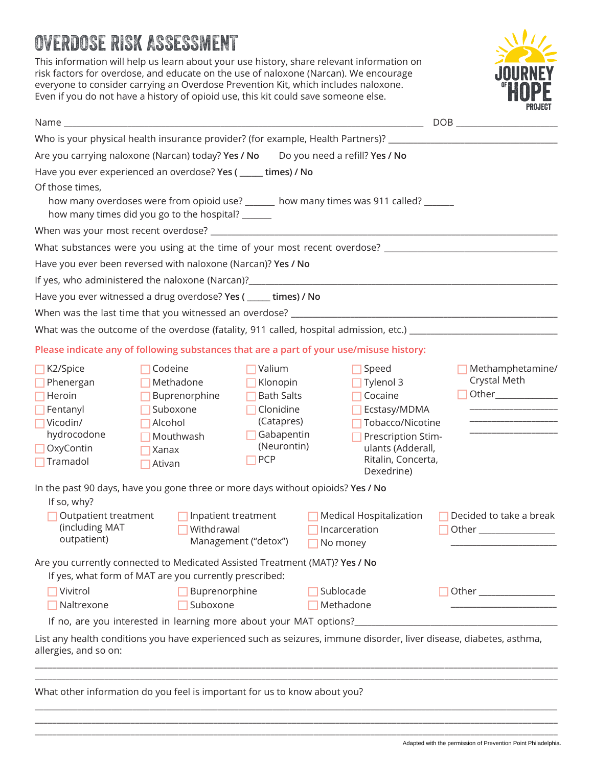# OVERDOSE RISK ASSESSMENT

This information will help us learn about your use history, share relevant information on risk factors for overdose, and educate on the use of naloxone (Narcan). We encourage everyone to consider carrying an Overdose Prevention Kit, which includes naloxone. Even if you do not have a history of opioid use, this kit could save someone else.



| Name and the contract of the contract of the contract of the contract of the contract of the contract of the contract of the contract of the contract of the contract of the contract of the contract of the contract of the c |                                                                                                                                            |                                                                                                        |                                                      |                                                                                                                                                  |  |                                  |
|--------------------------------------------------------------------------------------------------------------------------------------------------------------------------------------------------------------------------------|--------------------------------------------------------------------------------------------------------------------------------------------|--------------------------------------------------------------------------------------------------------|------------------------------------------------------|--------------------------------------------------------------------------------------------------------------------------------------------------|--|----------------------------------|
| Who is your physical health insurance provider? (for example, Health Partners)? _____________________________                                                                                                                  |                                                                                                                                            |                                                                                                        |                                                      |                                                                                                                                                  |  |                                  |
| Are you carrying naloxone (Narcan) today? Yes / No                                                                                                                                                                             |                                                                                                                                            |                                                                                                        |                                                      | Do you need a refill? Yes / No                                                                                                                   |  |                                  |
| Have you ever experienced an overdose? Yes ( _____ times) / No                                                                                                                                                                 |                                                                                                                                            |                                                                                                        |                                                      |                                                                                                                                                  |  |                                  |
| Of those times,                                                                                                                                                                                                                | how many overdoses were from opioid use? ______ how many times was 911 called? ______<br>how many times did you go to the hospital? ______ |                                                                                                        |                                                      |                                                                                                                                                  |  |                                  |
|                                                                                                                                                                                                                                |                                                                                                                                            |                                                                                                        |                                                      |                                                                                                                                                  |  |                                  |
| What substances were you using at the time of your most recent overdose? ___________________________                                                                                                                           |                                                                                                                                            |                                                                                                        |                                                      |                                                                                                                                                  |  |                                  |
| Have you ever been reversed with naloxone (Narcan)? Yes / No                                                                                                                                                                   |                                                                                                                                            |                                                                                                        |                                                      |                                                                                                                                                  |  |                                  |
|                                                                                                                                                                                                                                |                                                                                                                                            |                                                                                                        |                                                      |                                                                                                                                                  |  |                                  |
| Have you ever witnessed a drug overdose? Yes ( _____ times) / No                                                                                                                                                               |                                                                                                                                            |                                                                                                        |                                                      |                                                                                                                                                  |  |                                  |
| When was the last time that you witnessed an overdose? _________________________                                                                                                                                               |                                                                                                                                            |                                                                                                        |                                                      |                                                                                                                                                  |  |                                  |
| What was the outcome of the overdose (fatality, 911 called, hospital admission, etc.) _______________________                                                                                                                  |                                                                                                                                            |                                                                                                        |                                                      |                                                                                                                                                  |  |                                  |
| Please indicate any of following substances that are a part of your use/misuse history:                                                                                                                                        |                                                                                                                                            |                                                                                                        |                                                      |                                                                                                                                                  |  |                                  |
| $\Box$ K2/Spice<br>Phenergan<br>Heroin<br>Fentanyl<br>Vicodin/<br>hydrocodone<br>OxyContin<br>Tramadol                                                                                                                         | Codeine<br>Methadone<br>Buprenorphine<br>Suboxone<br>Alcohol<br>Mouthwash<br>Xanax<br>Ativan                                               | Valium<br>Klonopin<br><b>Bath Salts</b><br>Clonidine<br>(Catapres)<br>Gabapentin<br>(Neurontin)<br>PCP |                                                      | Speed<br>Tylenol 3<br>Cocaine<br>Ecstasy/MDMA<br>Tobacco/Nicotine<br>Prescription Stim-<br>ulants (Adderall,<br>Ritalin, Concerta,<br>Dexedrine) |  | Methamphetamine/<br>Crystal Meth |
| In the past 90 days, have you gone three or more days without opioids? Yes / No<br>If so, why?                                                                                                                                 |                                                                                                                                            |                                                                                                        |                                                      |                                                                                                                                                  |  |                                  |
| (including MAT<br>outpatient)                                                                                                                                                                                                  | Outpatient treatment<br>Inpatient treatment<br>Withdrawal<br>Management ("detox")                                                          |                                                                                                        | Medical Hospitalization<br>Incarceration<br>No money |                                                                                                                                                  |  | Decided to take a break          |
| Are you currently connected to Medicated Assisted Treatment (MAT)? Yes / No                                                                                                                                                    | If yes, what form of MAT are you currently prescribed:                                                                                     |                                                                                                        |                                                      |                                                                                                                                                  |  |                                  |
| Vivitrol<br>Naltrexone                                                                                                                                                                                                         | Buprenorphine<br>Suboxone                                                                                                                  |                                                                                                        | Sublocade<br>Methadone                               |                                                                                                                                                  |  |                                  |
|                                                                                                                                                                                                                                | If no, are you interested in learning more about your MAT options?_                                                                        |                                                                                                        |                                                      |                                                                                                                                                  |  |                                  |
| List any health conditions you have experienced such as seizures, immune disorder, liver disease, diabetes, asthma,<br>allergies, and so on:                                                                                   |                                                                                                                                            |                                                                                                        |                                                      |                                                                                                                                                  |  |                                  |
|                                                                                                                                                                                                                                |                                                                                                                                            |                                                                                                        |                                                      |                                                                                                                                                  |  |                                  |

\_\_\_\_\_\_\_\_\_\_\_\_\_\_\_\_\_\_\_\_\_\_\_\_\_\_\_\_\_\_\_\_\_\_\_\_\_\_\_\_\_\_\_\_\_\_\_\_\_\_\_\_\_\_\_\_\_\_\_\_\_\_\_\_\_\_\_\_\_\_\_\_\_\_\_\_\_\_\_\_\_\_\_\_\_\_\_\_\_\_\_\_\_\_\_\_\_\_\_\_\_\_\_\_\_\_\_\_\_\_\_\_\_\_\_\_\_\_\_\_\_\_\_ \_\_\_\_\_\_\_\_\_\_\_\_\_\_\_\_\_\_\_\_\_\_\_\_\_\_\_\_\_\_\_\_\_\_\_\_\_\_\_\_\_\_\_\_\_\_\_\_\_\_\_\_\_\_\_\_\_\_\_\_\_\_\_\_\_\_\_\_\_\_\_\_\_\_\_\_\_\_\_\_\_\_\_\_\_\_\_\_\_\_\_\_\_\_\_\_\_\_\_\_\_\_\_\_\_\_\_\_\_\_\_\_\_\_\_\_\_\_\_\_ \_\_\_\_\_\_\_\_\_\_\_\_\_\_\_\_\_\_\_\_\_\_\_\_\_\_\_\_\_\_\_\_\_\_\_\_\_\_\_\_\_\_\_\_\_\_\_\_\_\_\_\_\_\_\_\_\_\_\_\_\_\_\_\_\_\_\_\_\_\_\_\_\_\_\_\_\_\_\_\_\_\_\_\_\_\_\_\_\_\_\_\_\_\_\_\_\_\_\_\_\_\_\_\_\_\_\_\_\_\_\_\_\_\_\_\_\_\_\_\_

What other information do you feel is important for us to know about you?